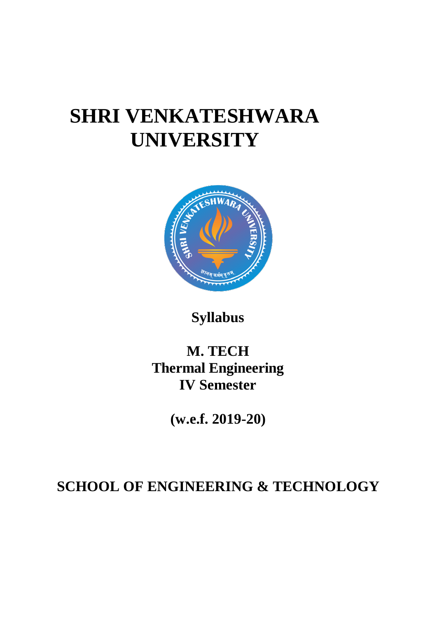## **SHRI VENKATESHWARA UNIVERSITY**



**Syllabus**

## **M. TECH Thermal Engineering IV Semester**

**(w.e.f. 2019-20)**

## **SCHOOL OF ENGINEERING & TECHNOLOGY**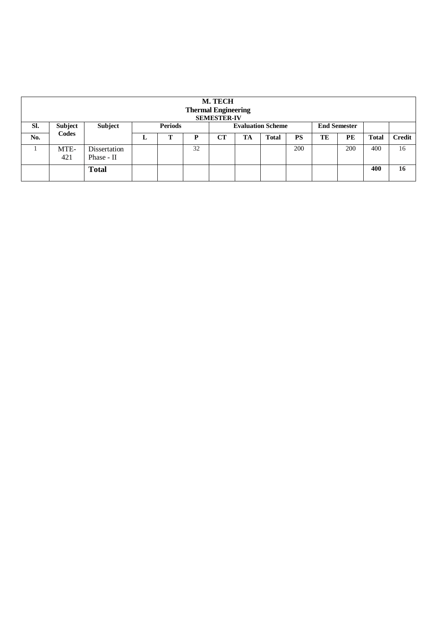| M. TECH<br><b>Thermal Engineering</b><br><b>SEMESTER-IV</b> |                         |                            |                |   |    |                          |    |              |           |                     |     |              |               |
|-------------------------------------------------------------|-------------------------|----------------------------|----------------|---|----|--------------------------|----|--------------|-----------|---------------------|-----|--------------|---------------|
| Sl.                                                         | <b>Subject</b><br>Codes | Subject                    | <b>Periods</b> |   |    | <b>Evaluation Scheme</b> |    |              |           | <b>End Semester</b> |     |              |               |
| No.                                                         |                         |                            | ≖              | ௱ | D  | CT                       | TA | <b>Total</b> | <b>PS</b> | TE                  | PE  | <b>Total</b> | <b>Credit</b> |
|                                                             | MTE-<br>421             | Dissertation<br>Phase - II |                |   | 32 |                          |    |              | 200       |                     | 200 | 400          | 16            |
|                                                             |                         | <b>Total</b>               |                |   |    |                          |    |              |           |                     |     | 400          | 16            |